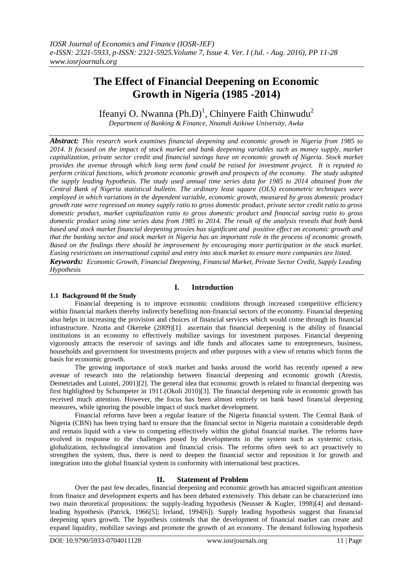# **The Effect of Financial Deepening on Economic Growth in Nigeria (1985 -2014)**

# Ifeanyi O. Nwanna (Ph.D)<sup>1</sup>, Chinyere Faith Chinwudu<sup>2</sup>

*Department of Banking & Finance, Nnamdi Azikiwe University, Awka*

*Abstract: This research work examines financial deepening and economic growth in Nigeria from 1985 to 2014. It focused on the impact of stock market and bank deepening variables such as money supply, market capitalization, private sector credit and financial savings have on economic growth of Nigeria. Stock market provides the avenue through which long term fund could be raised for investment project. It is reputed to perform critical functions, which promote economic growth and prospects of the economy. The study adopted the supply leading hypothesis. The study used annual time series data for 1985 to 2014 obtained from the Central Bank of Nigeria statistical bulletin. The ordinary least square (OLS) econometric techniques were employed in which variations in the dependent variable, economic growth, measured by gross domestic product growth rate were regressed on money supply ratio to gross domestic product, private sector credit ratio to gross domestic product, market capitalization ratio to gross domestic product and financial saving ratio to gross domestic product using time series data from 1985 to 2014. The result of the analysis reveals that both bank based and stock market financial deepening proxies has significant and positive effect on economic growth and that the banking sector and stock market in Nigeria has an important role in the process of economic growth. Based on the findings there should be improvement by encouraging more participation in the stock market. Easing restrictions on international capital and entry into stock market to ensure more companies are listed. Keywords: Economic Growth, Financial Deepening, Financial Market, Private Sector Credit, Supply Leading Hypothesis*

# **1.1 Background 0f the Study**

# **I. Introduction**

Financial deepening is to improve economic conditions through increased competitive efficiency within financial markets thereby indirectly benefiting non-financial sectors of the economy. Financial deepening also helps in increasing the provision and choices of financial services which would come through its financial infrastructure. Nzotta and Okereke (2009)[1] ascertain that financial deepening is the ability of financial institutions in an economy to effectively mobilize savings for investment purposes. Financial deepening vigorously attracts the reservoir of savings and idle funds and allocates same to entrepreneurs, business, households and government for investments projects and other purposes with a view of returns which forms the basis for economic growth.

The growing importance of stock market and banks around the world has recently opened a new avenue of research into the relationship between financial deepening and economic growth (Arestis, Demetriades and Luintel, 2001)[2]. The general idea that economic growth is related to financial deepening was first highlighted by Schumpeter in 1911.(Okoli 2010)[3]. The financial deepening role in economic growth has received much attention. However, the focus has been almost entirely on bank based financial deepening measures, while ignoring the possible impact of stock market development.

Financial reforms have been a regular feature of the Nigeria financial system. The Central Bank of Nigeria (CBN) has been trying hard to ensure that the financial sector in Nigeria maintain a considerable depth and remain liquid with a view to competing effectively within the global financial market. The reforms have evolved in response to the challenges posed by developments in the system such as systemic crisis, globalization, technological innovation and financial crisis. The reforms often seek to act proactively to strengthen the system, thus, there is need to deepen the financial sector and reposition it for growth and integration into the global financial system in conformity with international best practices.

# **II. Statement of Problem**

Over the past few decades, financial deepening and economic growth has attracted significant attention from finance and development experts and has been debated extensively. This debate can be characterized into two main theoretical propositions: the supply-leading hypothesis (Neusser & Kugler, 1998)[4] and demandleading hypothesis (Patrick, 1966[5]; Ireland, 1994[6]). Supply leading hypothesis suggest that financial deepening spurs growth. The hypothesis contends that the development of financial market can create and expand liquidity, mobilize savings and promote the growth of an economy. The demand following hypothesis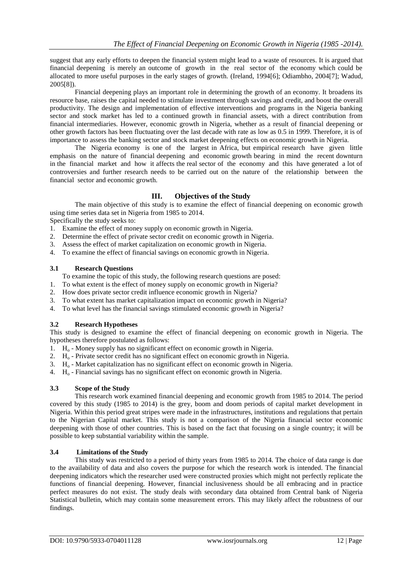suggest that any early efforts to deepen the financial system might lead to a waste of resources. It is argued that financial deepening is merely an outcome of growth in the real sector of the economy which could be allocated to more useful purposes in the early stages of growth. (Ireland, 1994[6]; Odiambho, 2004[7]; Wadud, 2005[8]).

Financial deepening plays an important role in determining the growth of an economy. It broadens its resource base, raises the capital needed to stimulate investment through savings and credit, and boost the overall productivity. The design and implementation of effective interventions and programs in the Nigeria banking sector and stock market has led to a continued growth in financial assets, with a direct contribution from financial intermediaries. However, economic growth in Nigeria, whether as a result of financial deepening or other growth factors has been fluctuating over the last decade with rate as low as 0.5 in 1999. Therefore, it is of importance to assess the banking sector and stock market deepening effects on economic growth in Nigeria.

The Nigeria economy is one of the largest in Africa, but empirical research have given little emphasis on the nature of financial deepening and economic growth bearing in mind the recent downturn in the financial market and how it affects the real sector of the economy and this have generated a lot of controversies and further research needs to be carried out on the nature of the relationship between the financial sector and economic growth.

# **III. Objectives of the Study**

The main objective of this study is to examine the effect of financial deepening on economic growth using time series data set in Nigeria from 1985 to 2014.

Specifically the study seeks to:

- 1. Examine the effect of money supply on economic growth in Nigeria.
- 2. Determine the effect of private sector credit on economic growth in Nigeria.
- 3. Assess the effect of market capitalization on economic growth in Nigeria.
- 4. To examine the effect of financial savings on economic growth in Nigeria.

### **3.1 Research Questions**

- To examine the topic of this study, the following research questions are posed:
- 1. To what extent is the effect of money supply on economic growth in Nigeria?
- 2. How does private sector credit influence economic growth in Nigeria?
- 3. To what extent has market capitalization impact on economic growth in Nigeria?
- 4. To what level has the financial savings stimulated economic growth in Nigeria?

# **3.2 Research Hypotheses**

This study is designed to examine the effect of financial deepening on economic growth in Nigeria. The hypotheses therefore postulated as follows:

- 1.  $H_0$  Money supply has no significant effect on economic growth in Nigeria.
- 2.  $H_0$  Private sector credit has no significant effect on economic growth in Nigeria.
- 3.  $H_0$  Market capitalization has no significant effect on economic growth in Nigeria.
- 4.  $H_0$  Financial savings has no significant effect on economic growth in Nigeria.

#### **3.3 Scope of the Study**

This research work examined financial deepening and economic growth from 1985 to 2014. The period covered by this study (1985 to 2014) is the grey, boom and doom periods of capital market development in Nigeria. Within this period great stripes were made in the infrastructures, institutions and regulations that pertain to the Nigerian Capital market. This study is not a comparison of the Nigeria financial sector economic deepening with those of other countries. This is based on the fact that focusing on a single country; it will be possible to keep substantial variability within the sample.

# **3.4 Limitations of the Study**

This study was restricted to a period of thirty years from 1985 to 2014. The choice of data range is due to the availability of data and also covers the purpose for which the research work is intended. The financial deepening indicators which the researcher used were constructed proxies which might not perfectly replicate the functions of financial deepening. However, financial inclusiveness should be all embracing and in practice perfect measures do not exist. The study deals with secondary data obtained from Central bank of Nigeria Statistical bulletin, which may contain some measurement errors. This may likely affect the robustness of our findings.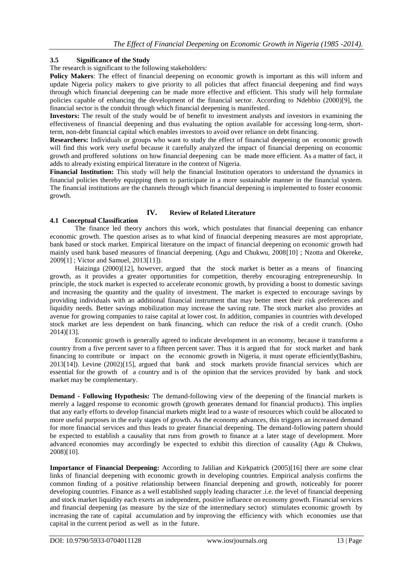# **3.5 Significance of the Study**

The research is significant to the following stakeholders:

**Policy Makers**: The effect of financial deepening on economic growth is important as this will inform and update Nigeria policy makers to give priority to all policies that affect financial deepening and find ways through which financial deepening can be made more effective and efficient. This study will help formulate policies capable of enhancing the development of the financial sector. According to Ndebbio (2000)[9], the financial sector is the conduit through which financial deepening is manifested.

**Investors:** The result of the study would be of benefit to investment analysts and investors in examining the effectiveness of financial deepening and thus evaluating the option available for accessing long-term, shortterm, non-debt financial capital which enables investors to avoid over reliance on debt financing.

**Researchers:** Individuals or groups who want to study the effect of financial deepening on economic growth will find this work very useful because it carefully analyzed the impact of financial deepening on economic growth and proffered solutions on how financial deepening can be made more efficient. As a matter of fact, it adds to already existing empirical literature in the context of Nigeria.

**Financial Institution:** This study will help the financial Institution operators to understand the dynamics in financial policies thereby equipping them to participate in a more sustainable manner in the financial system. The financial institutions are the channels through which financial deepening is implemented to foster economic growth.

# **IV. Review of Related Literature**

# **4.1 Conceptual Classification**

The finance led theory anchors this work, which postulates that financial deepening can enhance economic growth. The question arises as to what kind of financial deepening measures are most appropriate, bank based or stock market. Empirical literature on the impact of financial deepening on economic growth had mainly used bank based measures of financial deepening. (Agu and Chukwu, 2008[10] ; Nzotta and Okereke, 2009[1] ; Victor and Samuel, 2013[11]).

Haizinga (2000)[12], however, argued that the stock market is better as a means of financing growth, as it provides a greater opportunities for competition, thereby encouraging entrepreneurship. In principle, the stock market is expected to accelerate economic growth, by providing a boost to domestic savings and increasing the quantity and the quality of investment. The market is expected to encourage savings by providing individuals with an additional financial instrument that may better meet their risk preferences and liquidity needs. Better savings mobilization may increase the saving rate. The stock market also provides an avenue for growing companies to raise capital at lower cost. In addition, companies in countries with developed stock market are less dependent on bank financing, which can reduce the risk of a credit crunch. (Osho 2014)[13].

Economic growth is generally agreed to indicate development in an economy, because it transforms a country from a five percent saver to a fifteen percent saver. Thus it is argued that for stock market and bank financing to contribute or impact on the economic growth in Nigeria, it must operate efficiently(Bashiru, 2013[14]). Levine (2002)[15], argued that bank and stock markets provide financial services which are essential for the growth of a country and is of the opinion that the services provided by bank and stock market may be complementary.

**Demand - Following Hypothesis:** The demand-following view of the deepening of the financial markets is merely a lagged response to economic growth (growth generates demand for financial products). This implies that any early efforts to develop financial markets might lead to a waste of resources which could be allocated to more useful purposes in the early stages of growth. As the economy advances, this triggers an increased demand for more financial services and thus leads to greater financial deepening. The demand-following pattern should be expected to establish a causality that runs from growth to finance at a later stage of development. More advanced economies may accordingly be expected to exhibit this direction of causality (Agu & Chukwu, 2008)[10].

**Importance of Financial Deepening:** According to Jalilian and Kirkpatrick (2005)[16] there are some clear links of financial deepening with economic growth in developing countries. Empirical analysis confirms the common finding of a positive relationship between financial deepening and growth, noticeably for poorer developing countries. Finance as a well established supply leading character .i.e. the level of financial deepening and stock market liquidity each exerts an independent, positive influence on economy growth. Financial services and financial deepening (as measure by the size of the intermediary sector) stimulates economic growth by increasing the rate of capital accumulation and by improving the efficiency with which economies use that capital in the current period as well as in the future.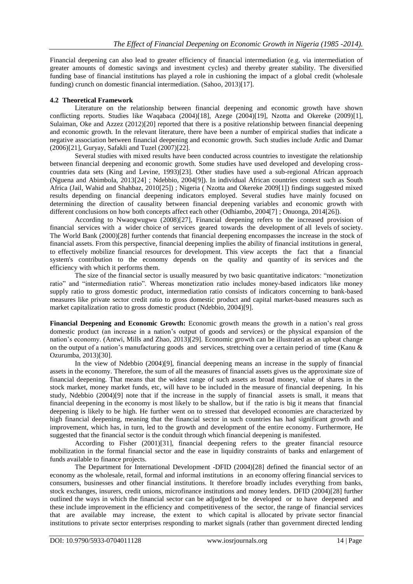Financial deepening can also lead to greater efficiency of financial intermediation (e.g. via intermediation of greater amounts of domestic savings and investment cycles) and thereby greater stability. The diversified funding base of financial institutions has played a role in cushioning the impact of a global credit (wholesale funding) crunch on domestic financial intermediation. (Sahoo, 2013)[17].

# **4.2 Theoretical Framework**

Literature on the relationship between financial deepening and economic growth have shown conflicting reports. Studies like Waqabaca (2004)[18], Azege (2004)[19], Nzotta and Okereke (2009)[1], Sulaiman, Oke and Azzez (2012)[20] reported that there is a positive relationship between financial deepening and economic growth. In the relevant literature, there have been a number of empirical studies that indicate a negative association between financial deepening and economic growth. Such studies include Ardic and Damar (2006)[21], Guryay, Safakli and Tuzel (2007)[22].

Several studies with mixed results have been conducted across countries to investigate the relationship between financial deepening and economic growth. Some studies have used developed and developing crosscountries data sets (King and Levine, 1993)[23]. Other studies have used a sub-regional African approach (Nguena and Abimbola, 2013[24] ; Ndebbio, 2004[9]). In individual African countries context such as South Africa (Jail, Wahid and Shahbaz, 2010[25]) ; Nigeria ( Nzotta and Okereke 2009[1]) findings suggested mixed results depending on financial deepening indicators employed. Several studies have mainly focused on determining the direction of causality between financial deepening variables and economic growth with different conclusions on how both concepts affect each other (Odhiambo, 2004[7] ; Onuonga, 2014[26]).

According to Nwaogwugwu (2008)[27], Financial deepening refers to the increased provision of financial services with a wider choice of services geared towards the development of all levels of society. The World Bank (2000)[28] further contends that financial deepening encompasses the increase in the stock of financial assets. From this perspective, financial deepening implies the ability of financial institutions in general, to effectively mobilize financial resources for development. This view accepts the fact that a financial system's contribution to the economy depends on the quality and quantity of its services and the efficiency with which it performs them.

The size of the financial sector is usually measured by two basic quantitative indicators: "monetization ratio" and "intermediation ratio". Whereas monetization ratio includes money-based indicators like money supply ratio to gross domestic product, intermediation ratio consists of indicators concerning to bank-based measures like private sector credit ratio to gross domestic product and capital market-based measures such as market capitalization ratio to gross domestic product (Ndebbio, 2004)[9].

**Financial Deepening and Economic Growth:** Economic growth means the growth in a nation's real gross domestic product (an increase in a nation's output of goods and services) or the physical expansion of the nation's economy. (Antwi, Mills and Zhao, 2013)[29]. Economic growth can be illustrated as an upbeat change on the output of a nation's manufacturing goods and services, stretching over a certain period of time (Kanu & Ozurumba, 2013)[30].

In the view of Ndebbio (2004)[9], financial deepening means an increase in the supply of financial assets in the economy. Therefore, the sum of all the measures of financial assets gives us the approximate size of financial deepening. That means that the widest range of such assets as broad money, value of shares in the stock market, money market funds, etc, will have to be included in the measure of financial deepening. In his study, Ndebbio (2004)[9] note that if the increase in the supply of financial assets is small, it means that financial deepening in the economy is most likely to be shallow, but if the ratio is big it means that financial deepening is likely to be high. He further went on to stressed that developed economies are characterized by high financial deepening, meaning that the financial sector in such countries has had significant growth and improvement, which has, in turn, led to the growth and development of the entire economy. Furthermore, He suggested that the financial sector is the conduit through which financial deepening is manifested.

According to Fisher (2001)[31], financial deepening refers to the greater financial resource mobilization in the formal financial sector and the ease in liquidity constraints of banks and enlargement of funds available to finance projects.

The Department for International Development -DFID (2004)[28] defined the financial sector of an economy as the wholesale, retail, formal and informal institutions in an economy offering financial services to consumers, businesses and other financial institutions. It therefore broadly includes everything from banks, stock exchanges, insurers, credit unions, microfinance institutions and money lenders. DFID (2004)[28] further outlined the ways in which the financial sector can be adjudged to be developed or to have deepened and these include improvement in the efficiency and competitiveness of the sector, the range of financial services that are available may increase, the extent to which capital is allocated by private sector financial institutions to private sector enterprises responding to market signals (rather than government directed lending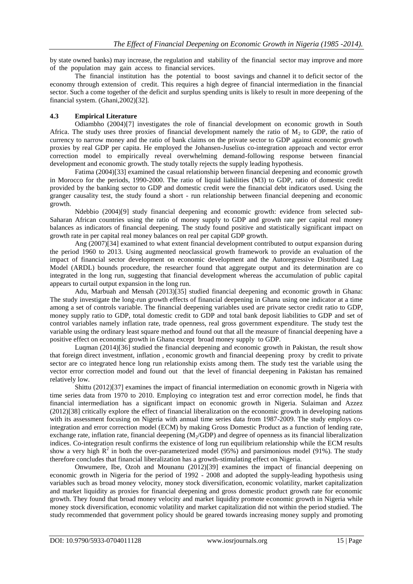by state owned banks) may increase, the regulation and stability of the financial sector may improve and more of the population may gain access to financial services.

The financial institution has the potential to boost savings and channel it to deficit sector of the economy through extension of credit. This requires a high degree of financial intermediation in the financial sector. Such a come together of the deficit and surplus spending units is likely to result in more deepening of the financial system. (Ghani,2002)[32].

# **4.3 Empirical Literature**

Odiambho (2004)[7] investigates the role of financial development on economic growth in South Africa. The study uses three proxies of financial development namely the ratio of  $M_2$  to GDP, the ratio of currency to narrow money and the ratio of bank claims on the private sector to GDP against economic growth proxies by real GDP per capita. He employed the Johansen-Juselius co-integration approach and vector error correction model to empirically reveal overwhelming demand-following response between financial development and economic growth. The study totally rejects the supply leading hypothesis.

Fatima (2004)[33] examined the casual relationship between financial deepening and economic growth in Morocco for the periods, 1990-2000. The ratio of liquid liabilities (M3) to GDP, ratio of domestic credit provided by the banking sector to GDP and domestic credit were the financial debt indicators used. Using the granger causality test, the study found a short - run relationship between financial deepening and economic growth.

Ndebbio (2004)[9] study financial deepening and economic growth: evidence from selected sub-Saharan African countries using the ratio of money supply to GDP and growth rate per capital real money balances as indicators of financial deepening. The study found positive and statistically significant impact on growth rate in per capital real money balances on real per capital GDP growth.

Ang (2007)[34] examined to what extent financial development contributed to output expansion during the period 1960 to 2013. Using augmented neoclassical growth framework to provide an evaluation of the impact of financial sector development on economic development and the Autoregressive Distributed Lag Model (ARDL) bounds procedure, the researcher found that aggregate output and its determination are co integrated in the long run, suggesting that financial development whereas the accumulation of public capital appears to curtail output expansion in the long run.

Adu, Marbuah and Mensah (2013)[35] studied financial deepening and economic growth in Ghana: The study investigate the long-run growth effects of financial deepening in Ghana using one indicator at a time among a set of controls variable. The financial deepening variables used are private sector credit ratio to GDP, money supply ratio to GDP, total domestic credit to GDP and total bank deposit liabilities to GDP and set of control variables namely inflation rate, trade openness, real gross government expenditure. The study test the variable using the ordinary least square method and found out that all the measure of financial deepening have a positive effect on economic growth in Ghana except broad money supply to GDP.

Luqman (2014)[36] studied the financial deepening and economic growth in Pakistan, the result show that foreign direct investment, inflation , economic growth and financial deepening proxy by credit to private sector are co integrated hence long run relationship exists among them. The study test the variable using the vector error correction model and found out that the level of financial deepening in Pakistan has remained relatively low.

Shittu (2012)[37] examines the impact of financial intermediation on economic growth in Nigeria with time series data from 1970 to 2010. Employing co integration test and error correction model, he finds that financial intermediation has a significant impact on economic growth in Nigeria. Sulaiman and Azzez (2012)[38] critically explore the effect of financial liberalization on the economic growth in developing nations with its assessment focusing on Nigeria with annual time series data from 1987-2009. The study employs cointegration and error correction model (ECM) by making Gross Domestic Product as a function of lending rate, exchange rate, inflation rate, financial deepening  $(M<sub>2</sub>/GDP)$  and degree of openness as its financial liberalization indices. Co-integration result confirms the existence of long run equilibrium relationship while the ECM results show a very high  $R^2$  in both the over-parameterized model (95%) and parsimonious model (91%). The study therefore concludes that financial liberalization has a growth-stimulating effect on Nigeria.

Onwumere, Ibe, Ozoh and Mounanu (2012)[39] examines the impact of financial deepening on economic growth in Nigeria for the period of 1992 - 2008 and adopted the supply-leading hypothesis using variables such as broad money velocity, money stock diversification, economic volatility, market capitalization and market liquidity as proxies for financial deepening and gross domestic product growth rate for economic growth. They found that broad money velocity and market liquidity promote economic growth in Nigeria while money stock diversification, economic volatility and market capitalization did not within the period studied. The study recommended that government policy should be geared towards increasing money supply and promoting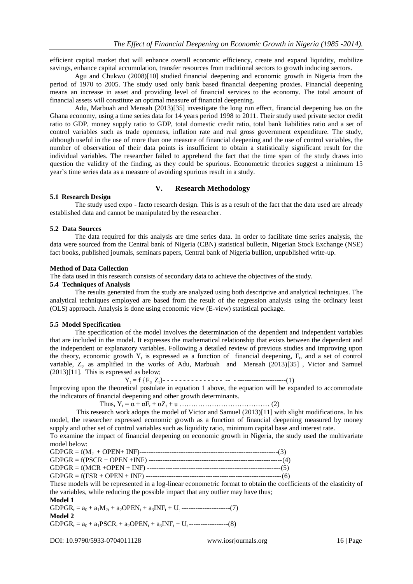efficient capital market that will enhance overall economic efficiency, create and expand liquidity, mobilize savings, enhance capital accumulation, transfer resources from traditional sectors to growth inducing sectors.

Agu and Chukwu (2008)[10] studied financial deepening and economic growth in Nigeria from the period of 1970 to 2005. The study used only bank based financial deepening proxies. Financial deepening means an increase in asset and providing level of financial services to the economy. The total amount of financial assets will constitute an optimal measure of financial deepening.

Adu, Marbuah and Mensah (2013)[35] investigate the long run effect, financial deepening has on the Ghana economy, using a time series data for 14 years period 1998 to 2011. Their study used private sector credit ratio to GDP, money supply ratio to GDP, total domestic credit ratio, total bank liabilities ratio and a set of control variables such as trade openness, inflation rate and real gross government expenditure. The study, although useful in the use of more than one measure of financial deepening and the use of control variables, the number of observation of their data points is insufficient to obtain a statistically significant result for the individual variables. The researcher failed to apprehend the fact that the time span of the study draws into question the validity of the finding, as they could be spurious. Econometric theories suggest a minimum 15 year's time series data as a measure of avoiding spurious result in a study.

# **V. Research Methodology**

#### **5.1 Research Design**

The study used expo - facto research design. This is as a result of the fact that the data used are already established data and cannot be manipulated by the researcher.

#### **5.2 Data Sources**

The data required for this analysis are time series data. In order to facilitate time series analysis, the data were sourced from the Central bank of Nigeria (CBN) statistical bulletin, Nigerian Stock Exchange (NSE) fact books, published journals, seminars papers, Central bank of Nigeria bullion, unpublished write-up.

#### **Method of Data Collection**

The data used in this research consists of secondary data to achieve the objectives of the study.

# **5.4 Techniques of Analysis**

The results generated from the study are analyzed using both descriptive and analytical techniques. The analytical techniques employed are based from the result of the regression analysis using the ordinary least (OLS) approach. Analysis is done using economic view (E-view) statistical package.

#### **5.5 Model Specification**

The specification of the model involves the determination of the dependent and independent variables that are included in the model. It expresses the mathematical relationship that exists between the dependent and the independent or explanatory variables. Following a detailed review of previous studies and improving upon the theory, economic growth  $Y_t$  is expressed as a function of financial deepening,  $F_t$ , and a set of control variable, Z<sub>t</sub>. as amplified in the works of Adu, Marbuah and Mensah (2013)[35], Victor and Samuel (2013)[11]. This is expressed as below;

Y<sup>t</sup> = f {F<sup>t</sup> , Zt}- - - - - - - - - - - - - - - -- - ---------------------(1)

Improving upon the theoretical postulate in equation 1 above, the equation will be expanded to accommodate the indicators of financial deepening and other growth determinants.

Thus, Y<sup>t</sup> = α + αF<sup>t</sup> + αZ<sup>t</sup> + u ………………………………… (2)

This research work adopts the model of Victor and Samuel (2013)[11] with slight modifications. In his model, the researcher expressed economic growth as a function of financial deepening measured by money supply and other set of control variables such as liquidity ratio, minimum capital base and interest rate.

To examine the impact of financial deepening on economic growth in Nigeria, the study used the multivariate model below:

| These models will be represented in a log-linear econometric format to obtain the coeffic |  |
|-------------------------------------------------------------------------------------------|--|

cients of the elasticity of the variables, while reducing the possible impact that any outlier may have thus; **Model 1**

 $GDPGR_t = a_0 + a_1M_{2t} + a_2OPEN_t + a_3INF_t + U_t$  ---------------------(7) **Model 2**

 $GDPGR_t = a_0 + a_1 PSCR_t + a_2 OPEN_t + a_3 INF_t + U_t$  -----------------(8)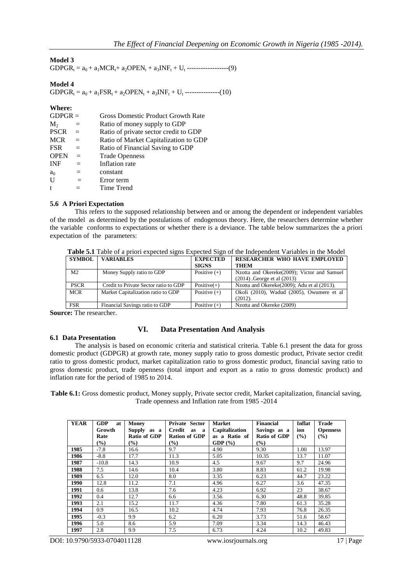# **Model 3**

 $GDPGR_t = a_0 + a_1 MCR_t + a_2 OPEN_t + a_3 INF_t + U_t$  ------------------(9)

# **Model 4**

 $GDPGR_t = a_0 + a_1FSR_t + a_2OPEN_t + a_3INF_t + U_t$  ---------------(10)

#### **Where:**

| $GDPGR =$      |     | <b>Gross Domestic Product Growth Rate</b> |
|----------------|-----|-------------------------------------------|
| $M_{2}$        | $=$ | Ratio of money supply to GDP              |
| <b>PSCR</b>    | $=$ | Ratio of private sector credit to GDP     |
| <b>MCR</b>     | $=$ | Ratio of Market Capitalization to GDP     |
| <b>FSR</b>     | $=$ | Ratio of Financial Saving to GDP          |
| <b>OPEN</b>    | $=$ | <b>Trade Openness</b>                     |
| <b>INF</b>     | $=$ | Inflation rate                            |
| a <sub>0</sub> | $=$ | constant                                  |
| $\mathbf{U}$   | $=$ | Error term                                |
| t              |     | Time Trend                                |

#### **5.6 A Priori Expectation**

This refers to the supposed relationship between and or among the dependent or independent variables of the model as determined by the postulations of endogenous theory. Here, the researchers determine whether the variable conforms to expectations or whether there is a deviance. The table below summarizes the a priori expectation of the parameters:

|                |                                       |                 | <b>Table 3.1</b> Table of a priori expected signs Expected Sign of the independent Variables in the Nioder |
|----------------|---------------------------------------|-----------------|------------------------------------------------------------------------------------------------------------|
| <b>SYMBOL</b>  | <b>VARIABLES</b>                      | <b>EXPECTED</b> | RESEARCHER WHO HAVE EMPLOYED                                                                               |
|                |                                       | <b>SIGNS</b>    | <b>THEM</b>                                                                                                |
| M <sub>2</sub> | Money Supply ratio to GDP             | Positive $(+)$  | Nzotta and Okereke(2009); Victor and Samuel                                                                |
|                |                                       |                 | $(2014)$ . George et al $(2013)$                                                                           |
| <b>PSCR</b>    | Credit to Private Sector ratio to GDP | $Positive(+)$   | Nzotta and Okereke(2009); Adu et al (2013).                                                                |
| <b>MCR</b>     | Market Capitalization ratio to GDP    | Positive $(+)$  | Okoli (2010), Wadud (2005), Owumere et al                                                                  |
|                |                                       |                 | (2012).                                                                                                    |
| <b>FSR</b>     | Financial Savings ratio to GDP        | Positive $(+)$  | Nzotta and Okereke (2009)                                                                                  |

**Table 5.1** Table of a priori expected signs Expected Sign of the Independent Variables in the Model

**Source:** The researcher.

# **VI. Data Presentation And Analysis**

**6.1 Data Presentation** The analysis is based on economic criteria and statistical criteria. Table 6.1 present the data for gross domestic product (GDPGR) at growth rate, money supply ratio to gross domestic product, Private sector credit ratio to gross domestic product, market capitalization ratio to gross domestic product, financial saving ratio to gross domestic product, trade openness (total import and export as a ratio to gross domestic product) and inflation rate for the period of 1985 to 2014.

**Table 6.1:** Gross domestic product, Money supply, Private sector credit, Market capitalization, financial saving, Trade openness and Inflation rate from 1985 -2014

| <b>YEAR</b> | <b>GDP</b><br>at | Money               | Private Sector       | <b>Market</b>  | <b>Financial</b> | Inflat | <b>Trade</b>    |
|-------------|------------------|---------------------|----------------------|----------------|------------------|--------|-----------------|
|             | Growth           | Supply as a         | Credit<br>as<br>a    | Capitalization | Savings as a     | ion    | <b>Openness</b> |
|             | Rate             | <b>Ratio of GDP</b> | <b>Ration of GDP</b> | as a Ratio of  | Ratio of GDP     | (%)    | $($ %)          |
|             | $\frac{9}{6}$    | $\frac{9}{6}$       | $(\%)$               | GDP $(\%)$     | $($ %)           |        |                 |
| 1985        | $-7.8$           | 16.6                | 9.7                  | 4.90           | 9.30             | 1.00   | 13.97           |
| 1986        | $-8.8$           | 17.7                | 11.3                 | 5.05           | 10.35            | 13.7   | 11.07           |
| 1987        | $-10.8$          | 14.3                | 10.9                 | 4.5            | 9.67             | 9.7    | 24.96           |
| 1988        | 7.5              | 14.6                | 10.4                 | 3.80           | 8.83             | 61.2   | 19.98           |
| 1989        | 6.5              | 12.0                | 8.0                  | 3.35           | 6.23             | 44.7   | 23.22           |
| 1990        | 12.8             | 11.2                | 7.1                  | 4.96           | 6.27             | 3.6    | 47.35           |
| 1991        | 0.6              | 13.8                | 7.6                  | 4.23           | 6.92             | 23     | 38.67           |
| 1992        | 0.4              | 12.7                | 6.6                  | 3.56           | 6.30             | 48.8   | 39.85           |
| 1993        | 2.1              | 15.2                | 11.7                 | 4.36           | 7.80             | 61.3   | 35.28           |
| 1994        | 0.9              | 16.5                | 10.2                 | 4.74           | 7.93             | 76.8   | 26.35           |
| 1995        | $-0.3$           | 9.9                 | 6.2                  | 6.20           | 3.73             | 51.6   | 58.67           |
| 1996        | 5.0              | 8.6                 | 5.9                  | 7.09           | 3.34             | 14.3   | 46.43           |
| 1997        | 2.8              | 9.9                 | 7.5                  | 6.73           | 4.24             | 10.2   | 49.83           |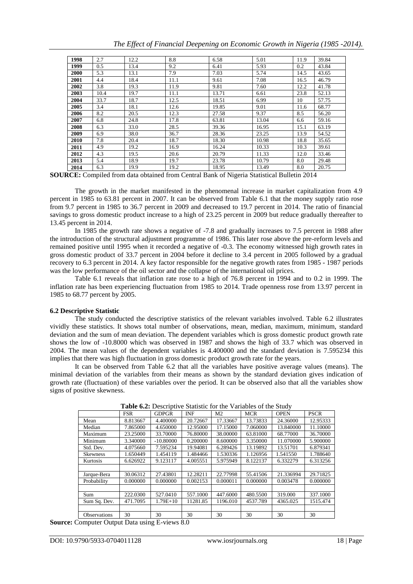|  | The Effect of Financial Deepening on Economic Growth in Nigeria (1985 -2014). |  |  |  |  |
|--|-------------------------------------------------------------------------------|--|--|--|--|

| 1998 | 2.7  | 12.2 | 8.8  | 6.58  | 5.01  | 11.9 | 39.84 |
|------|------|------|------|-------|-------|------|-------|
| 1999 | 0.5  | 13.4 | 9.2  | 6.41  | 5.93  | 0.2  | 43.84 |
| 2000 | 5.3  | 13.1 | 7.9  | 7.03  | 5.74  | 14.5 | 43.65 |
| 2001 | 4.4  | 18.4 | 11.1 | 9.61  | 7.08  | 16.5 | 46.79 |
| 2002 | 3.8  | 19.3 | 11.9 | 9.81  | 7.60  | 12.2 | 41.78 |
| 2003 | 10.4 | 19.7 | 11.1 | 13.71 | 6.61  | 23.8 | 52.13 |
| 2004 | 33.7 | 18.7 | 12.5 | 18.51 | 6.99  | 10   | 57.75 |
| 2005 | 3.4  | 18.1 | 12.6 | 19.85 | 9.01  | 11.6 | 68.77 |
| 2006 | 8.2  | 20.5 | 12.3 | 27.58 | 9.37  | 8.5  | 56.20 |
| 2007 | 6.8  | 24.8 | 17.8 | 63.81 | 13.04 | 6.6  | 59.16 |
| 2008 | 6.3  | 33.0 | 28.5 | 39.36 | 16.95 | 15.1 | 63.19 |
| 2009 | 6.9  | 38.0 | 36.7 | 28.36 | 23.25 | 13.9 | 54.52 |
| 2010 | 7.8  | 20.4 | 18.7 | 18.30 | 10.98 | 18.8 | 35.65 |
| 2011 | 4.9  | 19.2 | 16.9 | 16.24 | 10.33 | 10.3 | 39.61 |
| 2012 | 4.3  | 19.5 | 20.6 | 20.79 | 11.33 | 12.0 | 33.46 |
| 2013 | 5.4  | 18.9 | 19.7 | 23.78 | 10.79 | 8.0  | 29.48 |
| 2014 | 6.3  | 19.9 | 19.2 | 18.95 | 13.49 | 8.0  | 20.75 |

**SOURCE:** Compiled from data obtained from Central Bank of Nigeria Statistical Bulletin 2014

The growth in the market manifested in the phenomenal increase in market capitalization from 4.9 percent in 1985 to 63.81 percent in 2007. It can be observed from Table 6.1 that the money supply ratio rose from 9.7 percent in 1985 to 36.7 percent in 2009 and decreased to 19.7 percent in 2014. The ratio of financial savings to gross domestic product increase to a high of 23.25 percent in 2009 but reduce gradually thereafter to 13.45 percent in 2014.

In 1985 the growth rate shows a negative of -7.8 and gradually increases to 7.5 percent in 1988 after the introduction of the structural adjustment programme of 1986. This later rose above the pre-reform levels and remained positive until 1995 when it recorded a negative of -0.3. The economy witnessed high growth rates in gross domestic product of 33.7 percent in 2004 before it decline to 3.4 percent in 2005 followed by a gradual recovery to 6.3 percent in 2014. A key factor responsible for the negative growth rates from 1985 - 1987 periods was the low performance of the oil sector and the collapse of the international oil prices.

Table 6.1 reveals that inflation rate rose to a high of 76.8 percent in 1994 and to 0.2 in 1999. The inflation rate has been experiencing fluctuation from 1985 to 2014. Trade openness rose from 13.97 percent in 1985 to 68.77 percent by 2005.

#### **6.2 Descriptive Statistic**

The study conducted the descriptive statistics of the relevant variables involved. Table 6.2 illustrates vividly these statistics. It shows total number of observations, mean, median, maximum, minimum, standard deviation and the sum of mean deviation. The dependent variables which is gross domestic product growth rate shows the low of -10.8000 which was observed in 1987 and shows the high of 33.7 which was observed in 2004. The mean values of the dependent variables is 4.400000 and the standard deviation is 7.595234 this implies that there was high fluctuation in gross domestic product growth rate for the years.

It can be observed from Table 6.2 that all the variables have positive average values (means). The minimal deviation of the variables from their means as shown by the standard deviation gives indication of growth rate (fluctuation) of these variables over the period. It can be observed also that all the variables show signs of positive skewness.

|                     | $\mathbf{r}$ and $\mathbf{v}$ is a positive to matrix to the state of the bitter |              |            |                |            |             |             |  |
|---------------------|----------------------------------------------------------------------------------|--------------|------------|----------------|------------|-------------|-------------|--|
|                     | <b>FSR</b>                                                                       | <b>GDPGR</b> | <b>INF</b> | M <sub>2</sub> | <b>MCR</b> | <b>OPEN</b> | <b>PSCR</b> |  |
| Mean                | 8.813667                                                                         | 4.400000     | 20.72667   | 17.33667       | 13.73833   | 24.36000    | 12.95333    |  |
| Median              | 7.865000                                                                         | 4.650000     | 12.95000   | 17.15000       | 7.060000   | 13.840000   | 11.10000    |  |
| Maximum             | 23.25000                                                                         | 33.70000     | 76.80000   | 38,00000       | 63.81000   | 68.77000    | 36.70000    |  |
| Minimum             | 3.340000                                                                         | $-10.80000$  | 0.200000   | 8.600000       | 3.350000   | 11.070000   | 5.900000    |  |
| Std. Dev.           | 4.075660                                                                         | 7.595234     | 19.94081   | 6.289426       | 13.19892   | 13.51701    | 6.879341    |  |
| <b>Skewness</b>     | 1.650449                                                                         | 1.454119     | 1.484466   | 1.530336       | 1.126956   | 1.541550    | 1.788640    |  |
| Kurtosis            | 6.626922                                                                         | 9.123117     | 4.005551   | 5.975949       | 8.122137   | 6.332279    | 6.313256    |  |
|                     |                                                                                  |              |            |                |            |             |             |  |
| Jarque-Bera         | 30.06312                                                                         | 27.43801     | 12.28211   | 22.77998       | 55.41506   | 21.336994   | 29.71825    |  |
| Probability         | 0.000000                                                                         | 0.000000     | 0.002153   | 0.000011       | 0.000000   | 0.003478    | 0.000000    |  |
|                     |                                                                                  |              |            |                |            |             |             |  |
| Sum                 | 222,0300                                                                         | 527.0410     | 557.1000   | 447.6000       | 480.5500   | 319.000     | 337.1000    |  |
| Sum Sq. Dev.        | 471.7095                                                                         | $1.79E + 10$ | 11281.85   | 1196.010       | 4537.789   | 4365.025    | 1515.474    |  |
|                     |                                                                                  |              |            |                |            |             |             |  |
| <b>Observations</b> | 30                                                                               | 30           | 30         | 30             | 30         | 30          | 30          |  |

**Table 6.2:** Descriptive Statistic for the Variables of the Study

**Source:** Computer Output Data using E-views 8.0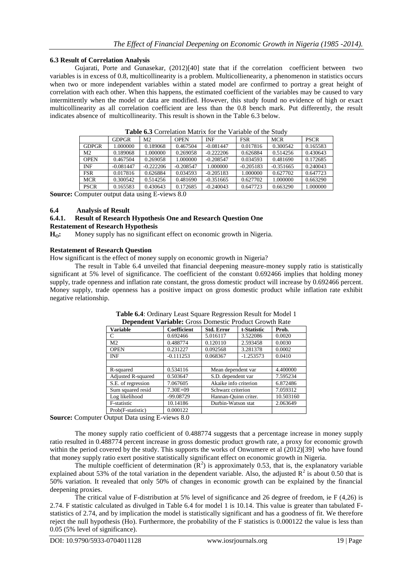# **6.3 Result of Correlation Analysis**

Guiarati, Porte and Gunasekar, (2012)[40] state that if the correlation coefficient between two variables is in excess of 0.8, multicollinearity is a problem. Multicollienearity, a phenomenon in statistics occurs when two or more independent variables within a stated model are confirmed to portray a great height of correlation with each other. When this happens, the estimated coefficient of the variables may be caused to vary intermittently when the model or data are modified. However, this study found no evidence of high or exact multicollinearity as all correlation coefficient are less than the 0.8 bench mark. Put differently, the result indicates absence of multicollinearity. This result is shown in the Table 6.3 below.

|                | <b>THOIC OIL COLLULATION INTERNATION THE VALIMOTE OF THE DIGG!</b> |                |             |             |             |             |             |  |
|----------------|--------------------------------------------------------------------|----------------|-------------|-------------|-------------|-------------|-------------|--|
|                | <b>GDPGR</b>                                                       | M <sub>2</sub> | <b>OPEN</b> | <b>INF</b>  | <b>FSR</b>  | <b>MCR</b>  | <b>PSCR</b> |  |
| <b>GDPGR</b>   | 1.000000                                                           | 0.189068       | 0.467504    | $-0.081447$ | 0.017816    | 0.300542    | 0.165583    |  |
| M <sub>2</sub> | 0.189068                                                           | 1.000000       | 0.269058    | $-0.222206$ | 0.626884    | 0.514256    | 0.430643    |  |
| <b>OPEN</b>    | 0.467504                                                           | 0.269058       | 1.000000    | $-0.208547$ | 0.034593    | 0.481690    | 0.172685    |  |
| <b>INF</b>     | $-0.081447$                                                        | $-0.222206$    | $-0.208547$ | 1.000000    | $-0.205183$ | $-0.351665$ | 0.240043    |  |
| <b>FSR</b>     | 0.017816                                                           | 0.626884       | 0.034593    | $-0.205183$ | 1.000000    | 0.627702    | 0.647723    |  |
| <b>MCR</b>     | 0.300542                                                           | 0.514256       | 0.481690    | $-0.351665$ | 0.627702    | 1.000000    | 0.663290    |  |
| <b>PSCR</b>    | 0.165583                                                           | 0.430643       | 0.172685    | $-0.240043$ | 0.647723    | 0.663290    | 1.000000    |  |
|                |                                                                    |                |             |             |             |             |             |  |

**Table 6.3** Correlation Matrix for the Variable of the Study

**Source:** Computer output data using E-views 8.0

### **6.4 Analysis of Result**

#### **6.4.1. Result of Research Hypothesis One and Research Question One**

#### **Restatement of Research Hypothesis**

**HO:** Money supply has no significant effect on economic growth in Nigeria.

# **Restatement of Research Question**

How significant is the effect of money supply on economic growth in Nigeria?

The result in Table 6.4 unveiled that financial deepening measure-money supply ratio is statistically significant at 5% level of significance. The coefficient of the constant 0.692466 implies that holding money supply, trade openness and inflation rate constant, the gross domestic product will increase by 0.692466 percent. Money supply, trade openness has a positive impact on gross domestic product while inflation rate exhibit negative relationship.

| <b>Dependent Variable:</b> Gross Domestic Product Growth Kate |                    |                       |                      |          |  |  |
|---------------------------------------------------------------|--------------------|-----------------------|----------------------|----------|--|--|
| <b>Variable</b>                                               | <b>Coefficient</b> | <b>Std. Error</b>     | t-Statistic          | Prob.    |  |  |
| C                                                             | 0.692466           | 5.016117              | 3.522086             | 0.0020   |  |  |
| M <sub>2</sub>                                                | 0.488774           | 0.120110              | 2.593458             | 0.0030   |  |  |
| <b>OPEN</b>                                                   | 0.231227           | 0.092568              | 3.281378             | 0.0002   |  |  |
| <b>INF</b>                                                    | $-0.111253$        | 0.068367              | $-1.253573$          | 0.0410   |  |  |
|                                                               |                    |                       |                      |          |  |  |
| R-squared                                                     | 0.534116           | Mean dependent var    |                      | 4.400000 |  |  |
| <b>Adjusted R-squared</b>                                     | 0.503647           | S.D. dependent var    |                      | 7.595234 |  |  |
| S.E. of regression                                            | 7.067605           | Akaike info criterion |                      | 6.872486 |  |  |
| Sum squared resid                                             | $7.30E + 09$       |                       | Schwarz criterion    |          |  |  |
| Log likelihood                                                | -99.08729          |                       | Hannan-Ouinn criter. |          |  |  |
| F-statistic                                                   | 10.14186           |                       | Durbin-Watson stat   |          |  |  |
| Prob(F-statistic)                                             | 0.000122           |                       |                      |          |  |  |

**Table 6.4**: Ordinary Least Square Regression Result for Model 1 **Dependent Variable:** Gross Domestic Product Growth Rate

**Source:** Computer Output Data using E-views 8.0

The money supply ratio coefficient of 0.488774 suggests that a percentage increase in money supply ratio resulted in 0.488774 percent increase in gross domestic product growth rate, a proxy for economic growth within the period covered by the study. This supports the works of Onwumere et al (2012)[39] who have found that money supply ratio exert positive statistically significant effect on economic growth in Nigeria.

The multiple coefficient of determination  $(R^2)$  is approximately 0.53, that is, the explanatory variable explained about 53% of the total variation in the dependent variable. Also, the adjusted  $R^2$  is about 0.50 that is 50% variation. It revealed that only 50% of changes in economic growth can be explained by the financial deepening proxies.

The critical value of F-distribution at 5% level of significance and 26 degree of freedom, ie F (4,26) is 2.74. F statistic calculated as divulged in Table 6.4 for model 1 is 10.14. This value is greater than tabulated Fstatistics of 2.74, and by implication the model is statistically significant and has a goodness of fit. We therefore reject the null hypothesis (Ho). Furthermore, the probability of the F statistics is 0.000122 the value is less than 0.05 (5% level of significance).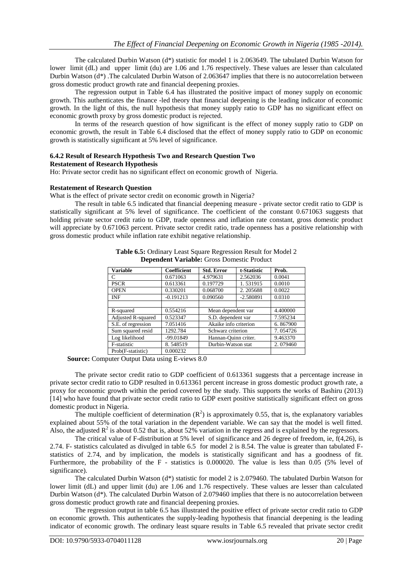The calculated Durbin Watson (d\*) statistic for model 1 is 2.063649. The tabulated Durbin Watson for lower limit (dL) and upper limit (du) are 1.06 and 1.76 respectively. These values are lesser than calculated Durbin Watson (d\*) .The calculated Durbin Watson of 2.063647 implies that there is no autocorrelation between gross domestic product growth rate and financial deepening proxies.

The regression output in Table 6.4 has illustrated the positive impact of money supply on economic growth. This authenticates the finance -led theory that financial deepening is the leading indicator of economic growth. In the light of this, the null hypothesis that money supply ratio to GDP has no significant effect on economic growth proxy by gross domestic product is rejected.

In terms of the research question of how significant is the effect of money supply ratio to GDP on economic growth, the result in Table 6.4 disclosed that the effect of money supply ratio to GDP on economic growth is statistically significant at 5% level of significance.

#### **6.4.2 Result of Research Hypothesis Two and Research Question Two Restatement of Research Hypothesis**

Ho: Private sector credit has no significant effect on economic growth of Nigeria.

#### **Restatement of Research Question**

What is the effect of private sector credit on economic growth in Nigeria?

The result in table 6.5 indicated that financial deepening measure - private sector credit ratio to GDP is statistically significant at 5% level of significance. The coefficient of the constant 0.671063 suggests that holding private sector credit ratio to GDP, trade openness and inflation rate constant, gross domestic product will appreciate by 0.671063 percent. Private sector credit ratio, trade openness has a positive relationship with gross domestic product while inflation rate exhibit negative relationship.

| <b>Variable</b>           | <b>Coefficient</b> | <b>Std. Error</b>     | t-Statistic | Prob.    |
|---------------------------|--------------------|-----------------------|-------------|----------|
| C                         | 0.671063           | 4.979631              | 2.562036    | 0.0041   |
| <b>PSCR</b>               | 0.613361           | 0.197729              | 1.531915    | 0.0010   |
| <b>OPEN</b>               | 0.330201           | 0.068700              | 2.205688    | 0.0022   |
| <b>INF</b>                | $-0.191213$        | 0.090560              | $-2.580891$ | 0.0310   |
|                           |                    |                       |             |          |
| R-squared                 | 0.554216           | Mean dependent var    |             | 4.400000 |
| <b>Adjusted R-squared</b> | 0.523347           | S.D. dependent var    |             | 7.595234 |
| S.E. of regression        | 7.051416           | Akaike info criterion |             | 6.867900 |
| Sum squared resid         | 1292.784           | Schwarz criterion     |             | 7.054726 |
| Log likelihood            | $-99.01849$        | Hannan-Ouinn criter.  |             | 9.463370 |
| F-statistic               | 8.548519           | Durbin-Watson stat    |             | 2.079460 |
| Prob(F-statistic)         | 0.000232           |                       |             |          |

**Table 6.5:** Ordinary Least Square Regression Result for Model 2 **Dependent Variable:** Gross Domestic Product

 **Source:** Computer Output Data using E-views 8.0

The private sector credit ratio to GDP coefficient of 0.613361 suggests that a percentage increase in private sector credit ratio to GDP resulted in 0.613361 percent increase in gross domestic product growth rate, a proxy for economic growth within the period covered by the study. This supports the works of Bashiru (2013) [14] who have found that private sector credit ratio to GDP exert positive statistically significant effect on gross domestic product in Nigeria.

The multiple coefficient of determination  $(R^2)$  is approximately 0.55, that is, the explanatory variables explained about 55% of the total variation in the dependent variable. We can say that the model is well fitted. Also, the adjusted  $R^2$  is about 0.52 that is, about 52% variation in the regress and is explained by the regressors.

The critical value of F-distribution at 5% level of significance and 26 degree of freedom, ie, f(4,26), is 2.74. F- statistics calculated as divulged in table 6.5 for model 2 is 8.54. The value is greater than tabulated Fstatistics of 2.74, and by implication, the models is statistically significant and has a goodness of fit. Furthermore, the probability of the F - statistics is 0.000020. The value is less than 0.05 (5% level of significance).

The calculated Durbin Watson (d\*) statistic for model 2 is 2.079460. The tabulated Durbin Watson for lower limit (dL) and upper limit (du) are 1.06 and 1.76 respectively. These values are lesser than calculated Durbin Watson (d\*). The calculated Durbin Watson of 2.079460 implies that there is no autocorrelation between gross domestic product growth rate and financial deepening proxies.

The regression output in table 6.5 has illustrated the positive effect of private sector credit ratio to GDP on economic growth. This authenticates the supply-leading hypothesis that financial deepening is the leading indicator of economic growth. The ordinary least square results in Table 6.5 revealed that private sector credit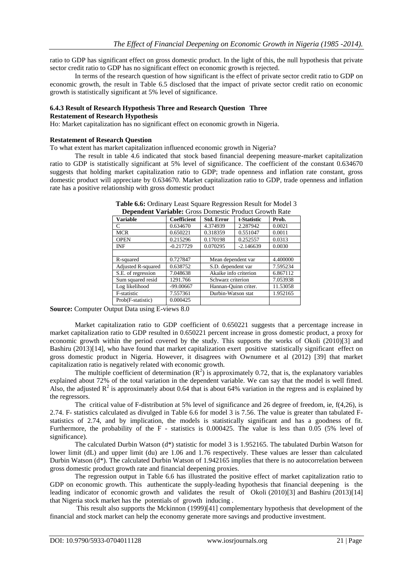ratio to GDP has significant effect on gross domestic product. In the light of this, the null hypothesis that private sector credit ratio to GDP has no significant effect on economic growth is rejected.

In terms of the research question of how significant is the effect of private sector credit ratio to GDP on economic growth, the result in Table 6.5 disclosed that the impact of private sector credit ratio on economic growth is statistically significant at 5% level of significance.

#### **6.4.3 Result of Research Hypothesis Three and Research Question Three Restatement of Research Hypothesis**

Ho: Market capitalization has no significant effect on economic growth in Nigeria.

#### **Restatement of Research Question**

To what extent has market capitalization influenced economic growth in Nigeria?

The result in table 4.6 indicated that stock based financial deepening measure-market capitalization ratio to GDP is statistically significant at 5% level of significance. The coefficient of the constant 0.634670 suggests that holding market capitalization ratio to GDP; trade openness and inflation rate constant, gross domestic product will appreciate by 0.634670. Market capitalization ratio to GDP, trade openness and inflation rate has a positive relationship with gross domestic product

| <b>Variable</b>           | <b>Coefficient</b> | <b>Std. Error</b>     | t-Statistic | Prob.    |
|---------------------------|--------------------|-----------------------|-------------|----------|
| C                         | 0.634670           | 4.374939              | 2.287942    | 0.0021   |
| <b>MCR</b>                | 0.650221           | 0.318359              | 0.551047    | 0.0011   |
| <b>OPEN</b>               | 0.215296           | 0.170198              | 0.252557    | 0.0313   |
| <b>INF</b>                | $-0.217729$        | 0.070295              | $-2.146639$ | 0.0030   |
|                           |                    |                       |             |          |
| R-squared                 | 0.727847           | Mean dependent var    |             | 4.400000 |
| <b>Adjusted R-squared</b> | 0.638752           | S.D. dependent var    |             | 7.595234 |
| S.E. of regression        | 7.048638           | Akaike info criterion |             | 6.867112 |
| Sum squared resid         | 1291.766           | Schwarz criterion     |             | 7.053938 |
| Log likelihood            | $-99.00667$        | Hannan-Quinn criter.  |             | 11.53058 |
| F-statistic               | 7.557361           | Durbin-Watson stat    |             | 1.952165 |
| Prob(F-statistic)         | 0.000425           |                       |             |          |

| Table 6.6: Ordinary Least Square Regression Result for Model 3 |  |
|----------------------------------------------------------------|--|
| <b>Donondont Variable:</b> Gross Domestic Product Growth Pate  |  |

**Source:** Computer Output Data using E-views 8.0

Market capitalization ratio to GDP coefficient of 0.650221 suggests that a percentage increase in market capitalization ratio to GDP resulted in 0.650221 percent increase in gross domestic product, a proxy for economic growth within the period covered by the study. This supports the works of Okoli (2010)[3] and Bashiru (2013)[14], who have found that market capitalization exert positive statistically significant effect on gross domestic product in Nigeria. However, it disagrees with Ownumere et al (2012) [39] that market capitalization ratio is negatively related with economic growth.

The multiple coefficient of determination  $(R^2)$  is approximately 0.72, that is, the explanatory variables explained about 72% of the total variation in the dependent variable. We can say that the model is well fitted. Also, the adjusted  $\mathbb{R}^2$  is approximately about 0.64 that is about 64% variation in the regress and is explained by the regressors.

The critical value of F-distribution at 5% level of significance and 26 degree of freedom, ie, f(4,26), is 2.74. F- statistics calculated as divulged in Table 6.6 for model 3 is 7.56. The value is greater than tabulated Fstatistics of 2.74, and by implication, the models is statistically significant and has a goodness of fit. Furthermore, the probability of the F - statistics is 0.000425. The value is less than 0.05 (5% level of significance).

The calculated Durbin Watson (d\*) statistic for model 3 is 1.952165. The tabulated Durbin Watson for lower limit (dL) and upper limit (du) are 1.06 and 1.76 respectively. These values are lesser than calculated Durbin Watson (d\*). The calculated Durbin Watson of 1.942165 implies that there is no autocorrelation between gross domestic product growth rate and financial deepening proxies.

The regression output in Table 6.6 has illustrated the positive effect of market capitalization ratio to GDP on economic growth. This authenticate the supply-leading hypothesis that financial deepening is the leading indicator of economic growth and validates the result of Okoli (2010)[3] and Bashiru (2013)[14] that Nigeria stock market has the potentials of growth inducing .

This result also supports the Mckinnon (1999)[41] complementary hypothesis that development of the financial and stock market can help the economy generate more savings and productive investment.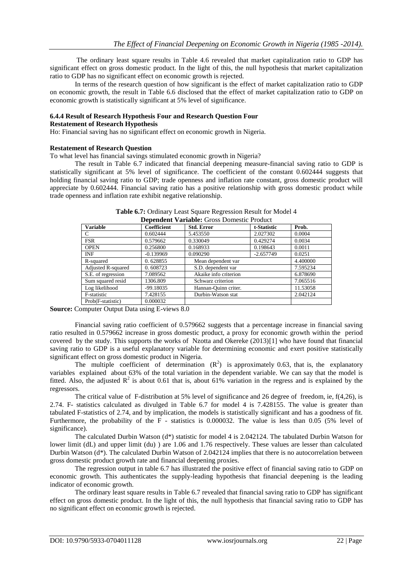The ordinary least square results in Table 4.6 revealed that market capitalization ratio to GDP has significant effect on gross domestic product. In the light of this, the null hypothesis that market capitalization ratio to GDP has no significant effect on economic growth is rejected.

In terms of the research question of how significant is the effect of market capitalization ratio to GDP on economic growth, the result in Table 6.6 disclosed that the effect of market capitalization ratio to GDP on economic growth is statistically significant at 5% level of significance.

#### **6.4.4 Result of Research Hypothesis Four and Research Question Four Restatement of Research Hypothesis**

Ho: Financial saving has no significant effect on economic growth in Nigeria.

#### **Restatement of Research Question**

To what level has financial savings stimulated economic growth in Nigeria?

The result in Table 6.7 indicated that financial deepening measure-financial saving ratio to GDP is statistically significant at 5% level of significance. The coefficient of the constant 0.602444 suggests that holding financial saving ratio to GDP; trade openness and inflation rate constant, gross domestic product will appreciate by 0.602444. Financial saving ratio has a positive relationship with gross domestic product while trade openness and inflation rate exhibit negative relationship.

| <b>Dependent variable:</b> Gross Domestic Product |                    |                       |             |          |  |  |
|---------------------------------------------------|--------------------|-----------------------|-------------|----------|--|--|
| <b>Variable</b>                                   | <b>Coefficient</b> | <b>Std. Error</b>     | t-Statistic | Prob.    |  |  |
| C                                                 | 0.602444           | 5.453550              | 2.027302    | 0.0004   |  |  |
| <b>FSR</b>                                        | 0.579662           | 0.330049              | 0.429274    | 0.0034   |  |  |
| <b>OPEN</b>                                       | 0.256800           | 0.168933              | 0.198643    | 0.0011   |  |  |
| <b>INF</b>                                        | $-0.139969$        | 0.090290              | $-2.657749$ | 0.0251   |  |  |
| R-squared                                         | 0.628855           | Mean dependent var    |             | 4.400000 |  |  |
| Adjusted R-squared                                | 0.608723           | S.D. dependent var    |             |          |  |  |
| S.E. of regression                                | 7.089562           | Akaike info criterion |             | 6.878690 |  |  |
| Sum squared resid                                 | 1306.809           | Schwarz criterion     |             | 7.065516 |  |  |
| Log likelihood                                    | $-99.18035$        | Hannan-Quinn criter.  |             | 11.53058 |  |  |
| F-statistic                                       | 7.428155           | Durbin-Watson stat    |             | 2.042124 |  |  |
| Prob(F-statistic)                                 | 0.000032           |                       |             |          |  |  |

| Table 6.7: Ordinary Least Square Regression Result for Model 4 |
|----------------------------------------------------------------|
| <b>Dependent Variable:</b> Gross Domestic Product              |

**Source:** Computer Output Data using E-views 8.0

Financial saving ratio coefficient of 0.579662 suggests that a percentage increase in financial saving ratio resulted in 0.579662 increase in gross domestic product, a proxy for economic growth within the period covered by the study. This supports the works of Nzotta and Okereke (2013)[1] who have found that financial saving ratio to GDP is a useful explanatory variable for determining economic and exert positive statistically significant effect on gross domestic product in Nigeria.

The multiple coefficient of determination  $(R^2)$  is approximately 0.63, that is, the explanatory variables explained about 63% of the total variation in the dependent variable. We can say that the model is fitted. Also, the adjusted  $\mathbb{R}^2$  is about 0.61 that is, about 61% variation in the regress and is explained by the regressors.

The critical value of F-distribution at 5% level of significance and 26 degree of freedom, ie, f(4,26), is 2.74. F- statistics calculated as divulged in Table 6.7 for model 4 is 7.428155. The value is greater than tabulated F-statistics of 2.74, and by implication, the models is statistically significant and has a goodness of fit. Furthermore, the probability of the F - statistics is 0.000032. The value is less than 0.05 (5% level of significance).

The calculated Durbin Watson (d\*) statistic for model 4 is 2.042124. The tabulated Durbin Watson for lower limit (dL) and upper limit (du) ) are 1.06 and 1.76 respectively. These values are lesser than calculated Durbin Watson (d\*). The calculated Durbin Watson of 2.042124 implies that there is no autocorrelation between gross domestic product growth rate and financial deepening proxies.

The regression output in table 6.7 has illustrated the positive effect of financial saving ratio to GDP on economic growth. This authenticates the supply-leading hypothesis that financial deepening is the leading indicator of economic growth.

The ordinary least square results in Table 6.7 revealed that financial saving ratio to GDP has significant effect on gross domestic product. In the light of this, the null hypothesis that financial saving ratio to GDP has no significant effect on economic growth is rejected.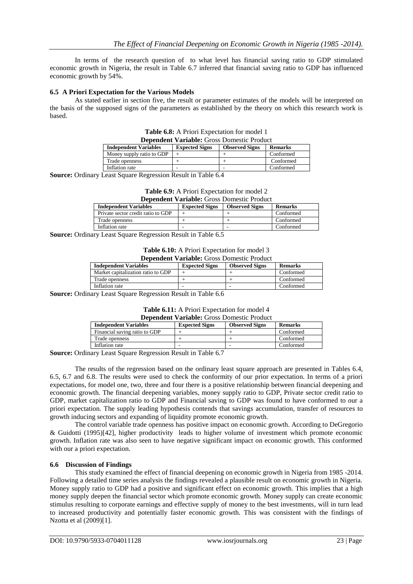In terms of the research question of to what level has financial saving ratio to GDP stimulated economic growth in Nigeria, the result in Table 6.7 inferred that financial saving ratio to GDP has influenced economic growth by 54%.

# **6.5 A Priori Expectation for the Various Models**

As stated earlier in section five, the result or parameter estimates of the models will be interpreted on the basis of the supposed signs of the parameters as established by the theory on which this research work is based.

| <b>Dependent Variable:</b> Gross Domestic Product |                       |                       |                |  |  |  |
|---------------------------------------------------|-----------------------|-----------------------|----------------|--|--|--|
| <b>Independent Variables</b>                      | <b>Expected Signs</b> | <b>Observed Signs</b> | <b>Remarks</b> |  |  |  |
| Money supply ratio to GDP                         |                       |                       | Conformed      |  |  |  |
| Trade openness                                    |                       |                       | Conformed      |  |  |  |
| Inflation rate                                    | -                     |                       | Conformed      |  |  |  |

| <b>Table 6.8:</b> A Priori Expectation for model 1 |
|----------------------------------------------------|
| <b>Dependent Variable:</b> Gross Domestic Product  |

**Source:** Ordinary Least Square Regression Result in Table 6.4

|  | Table 6.9: A Priori Expectation for model 2      |
|--|--------------------------------------------------|
|  | 1000 000 Janet Vantaklas Cusas Damsatis Dus Just |

|                                                | <b>Dependent variable:</b> Gross Domestic Floudel |                |  |  |  |  |  |
|------------------------------------------------|---------------------------------------------------|----------------|--|--|--|--|--|
| <b>Expected Signs</b><br><b>Observed Signs</b> |                                                   | <b>Remarks</b> |  |  |  |  |  |
|                                                |                                                   | Conformed      |  |  |  |  |  |
|                                                |                                                   | Conformed      |  |  |  |  |  |
|                                                |                                                   | Conformed      |  |  |  |  |  |
|                                                |                                                   |                |  |  |  |  |  |

**Source:** Ordinary Least Square Regression Result in Table 6.5

| Table 6.10: A Priori Expectation for model 3      |
|---------------------------------------------------|
| <b>Dependent Variable:</b> Gross Domestic Product |

| <b>Independent Variables</b>       | <b>Expected Signs</b> | <b>Observed Signs</b> | <b>Remarks</b> |
|------------------------------------|-----------------------|-----------------------|----------------|
| Market capitalization ratio to GDP |                       |                       | Conformed      |
| Trade openness                     |                       |                       | Conformed      |
| Inflation rate                     | -                     |                       | Conformed      |

**Source:** Ordinary Least Square Regression Result in Table 6.6

| Table 6.11: A Priori Expectation for model 4      |
|---------------------------------------------------|
| <b>Dependent Variable:</b> Gross Domestic Product |

| <b>Independent Variables</b>  | <b>Expected Signs</b> | <b>Observed Signs</b> | <b>Remarks</b> |  |
|-------------------------------|-----------------------|-----------------------|----------------|--|
| Financial saving ratio to GDP |                       |                       | Conformed      |  |
| Trade openness                |                       |                       | Conformed      |  |
| Inflation rate                |                       |                       | Conformed      |  |

**Source:** Ordinary Least Square Regression Result in Table 6.7

The results of the regression based on the ordinary least square approach are presented in Tables 6.4, 6.5, 6.7 and 6.8. The results were used to check the conformity of our prior expectation. In terms of a priori expectations, for model one, two, three and four there is a positive relationship between financial deepening and economic growth. The financial deepening variables, money supply ratio to GDP, Private sector credit ratio to GDP, market capitalization ratio to GDP and Financial saving to GDP was found to have conformed to our a priori expectation. The supply leading hypothesis contends that savings accumulation, transfer of resources to growth inducing sectors and expanding of liquidity promote economic growth.

The control variable trade openness has positive impact on economic growth. According to DeGregorio & Guidotti (1995)[42], higher productivity leads to higher volume of investment which promote economic growth. Inflation rate was also seen to have negative significant impact on economic growth. This conformed with our a priori expectation.

#### **6.6 Discussion of Findings**

This study examined the effect of financial deepening on economic growth in Nigeria from 1985 -2014. Following a detailed time series analysis the findings revealed a plausible result on economic growth in Nigeria. Money supply ratio to GDP had a positive and significant effect on economic growth. This implies that a high money supply deepen the financial sector which promote economic growth. Money supply can create economic stimulus resulting to corporate earnings and effective supply of money to the best investments, will in turn lead to increased productivity and potentially faster economic growth. This was consistent with the findings of Nzotta et al (2009)[1].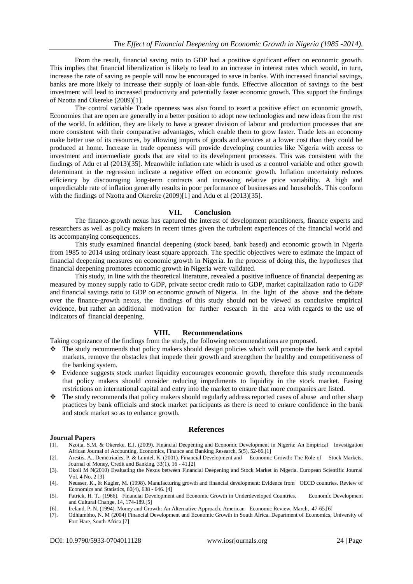From the result, financial saving ratio to GDP had a positive significant effect on economic growth. This implies that financial liberalization is likely to lead to an increase in interest rates which would, in turn, increase the rate of saving as people will now be encouraged to save in banks. With increased financial savings, banks are more likely to increase their supply of loan-able funds. Effective allocation of savings to the best investment will lead to increased productivity and potentially faster economic growth. This support the findings of Nzotta and Okereke (2009)[1].

The control variable Trade openness was also found to exert a positive effect on economic growth. Economies that are open are generally in a better position to adopt new technologies and new ideas from the rest of the world. In addition, they are likely to have a greater division of labour and production processes that are more consistent with their comparative advantages, which enable them to grow faster. Trade lets an economy make better use of its resources, by allowing imports of goods and services at a lower cost than they could be produced at home. Increase in trade openness will provide developing countries like Nigeria with access to investment and intermediate goods that are vital to its development processes. This was consistent with the findings of Adu et al (2013)[35]. Meanwhile inflation rate which is used as a control variable and other growth determinant in the regression indicate a negative effect on economic growth. Inflation uncertainty reduces efficiency by discouraging long-term contracts and increasing relative price variability. A high and unpredictable rate of inflation generally results in poor performance of businesses and households. This conform with the findings of Nzotta and Okereke (2009)[1] and Adu et al (2013)[35].

#### **VII. Conclusion**

The finance-growth nexus has captured the interest of development practitioners, finance experts and researchers as well as policy makers in recent times given the turbulent experiences of the financial world and its accompanying consequences.

This study examined financial deepening (stock based, bank based) and economic growth in Nigeria from 1985 to 2014 using ordinary least square approach. The specific objectives were to estimate the impact of financial deepening measures on economic growth in Nigeria. In the process of doing this, the hypotheses that financial deepening promotes economic growth in Nigeria were validated.

This study, in line with the theoretical literature, revealed a positive influence of financial deepening as measured by money supply ratio to GDP, private sector credit ratio to GDP, market capitalization ratio to GDP and financial savings ratio to GDP on economic growth of Nigeria. In the light of the above and the debate over the finance-growth nexus, the findings of this study should not be viewed as conclusive empirical evidence, but rather an additional motivation for further research in the area with regards to the use of indicators of financial deepening.

#### **VIII. Recommendations**

Taking cognizance of the findings from the study, the following recommendations are proposed.

- \* The study recommends that policy makers should design policies which will promote the bank and capital markets, remove the obstacles that impede their growth and strengthen the healthy and competitiveness of the banking system.
- Evidence suggests stock market liquidity encourages economic growth, therefore this study recommends that policy makers should consider reducing impediments to liquidity in the stock market. Easing restrictions on international capital and entry into the market to ensure that more companies are listed.
- The study recommends that policy makers should regularly address reported cases of abuse and other sharp practices by bank officials and stock market participants as there is need to ensure confidence in the bank and stock market so as to enhance growth.

#### **References**

#### **Journal Papers**

- [1]. Nzotta, S.M. & Okereke, E.J. (2009). Financial Deepening and Economic Development in Nigeria: An Empirical Investigation African Journal of Accounting, Economics, Finance and Banking Research, 5(5), 52-66.[1]
- [2]. Arestis, A., Demetriades, P. & Luintel, K. (2001). Financial Development and Economic Growth: The Role of Stock Markets, Journal of Money, Credit and Banking, 33(1), 16 - 41.[2]
- [3]. Okoli M N(2010) Evaluating the Nexus between Financial Deepening and Stock Market in Nigeria. European Scientific Journal Vol. 4 No, 2 [3]
- [4]. Neusser, K., & Kugler, M. (1998). Manufacturing growth and financial development: Evidence from OECD countries. Review of Economics and Statistics, 80(4), 638 - 646. [4]
- [5]. Patrick, H. T., (1966). Financial Development and Economic Growth in Underdeveloped Countries, Economic Development and Cultural Change, 14, 174-189.[5]
- [6]. Ireland, P. N. (1994). Money and Growth: An Alternative Approach. American Economic Review, March, 47-65.[6]
- [7]. Odhiambho, N. M (2004) Financial Development and Economic Growth in South Africa. Department of Economics, University of Fort Hare, South Africa.[7]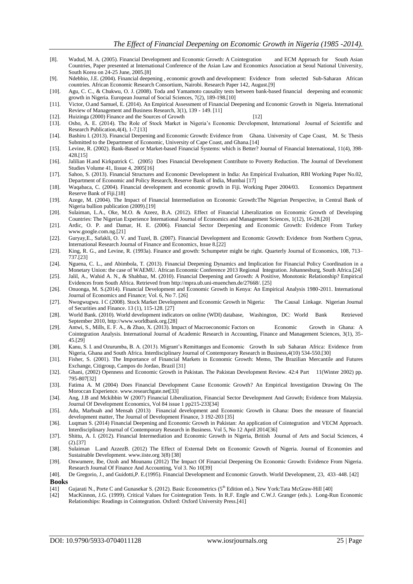- [8]. Wadud, M. A. (2005). Financial Development and Economic Growth: A Cointegration and ECM Approach for South Asian Countries, Paper presented at International Conference of the Asian Law and Economics Association at Seoul National University, South Korea on 24-25 June, 2005.[8]
- [9]. Ndebbio, J.E. (2004). Financial deepening , economic growth and development: Evidence from selected Sub-Saharan African countries. African Economic Research Consortium, Nairobi. Research Paper 142, August.[9]
- [10]. Agu, C. C., & Chukwu, O. J. (2008). Toda and Yamamoto causality tests between bank-based financial deepening and economic growth in Nigeria. European Journal of Social Sciences, 7(2), 189-198.[10]
- [11]. Victor, O.and Samuel, E. (2014). An Empirical Assessment of Financial Deepening and Economic Growth in Nigeria. International Review of Management and Business Research, 3(1), 139 - 149. [11]
- [12]. Huizinga (2000) Finance and the Sources of Growth [12]
- [13]. Osho, A. E. (2014). The Role of Stock Market in Nigeria's Economic Development, International Journal of Scientific and Research Publication,4(4), 1-7.[13]
- [14]. Bashiru I. (2013). Financial Deepening and Economic Growth: Evidence from Ghana. University of Cape Coast, M. Sc Thesis Submitted to the Department of Economic, University of Cape Coast, and Ghana.<sup>[14]</sup>
- [15]. Levine, R. (2002). Bank-Based or Market-based Financial Systems: which is Better? Journal of Financial International, 11(4), 398- 428.[15]
- [16]. Jalilian H.and Kirkpatrick C. (2005) Does Financial Development Contribute to Poverty Reduction. The Journal of Develoment Studies Volume 41, Iissue 4, 2005[16]
- [17]. Sahoo, S. (2013). Financial Structures and Economic Development in India: An Empirical Evaluation, RBI Working Paper No.02, Department of Economic and Policy Research, Reserve Bank of India, Mumbai [17]
- [18]. Waqabaca, C. (2004). Financial development and economic growth in Fiji. Working Paper 2004/03. Economics Department Reserve Bank of Fiji.[18]
- [19]. Azege, M. (2004). The Impact of Financial Intermediation on Economic Growth:The Nigerian Perspective, in Central Bank of Nigeria bullion publication (2009).[19]
- [20]. Sulaiman, L.A., Oke, M.O. & Azeez, B.A. (2012). Effect of Financial Liberalization on Economic Growth of Developing Countries: The Nigerian Experience International Journal of Economics and Management Sciences, 1(12), 16-28.[20]
- [21]. Ardic, O. P. and Damar, H. E. (2006). Financial Sector Deepening and Economic Growth: Evidence From Turkey www.google.com.ng.[21]
- [22]. Guryay,E., Safakli, O. V. and Tuzel, B. (2007). Financial Development and Economic Growth: Evidence from Northern Cyprus, International Research Journal of Finance and Economics, Issue 8.[22]
- [23]. King, R. G., and Levine, R. (1993a). Finance and growth: Schumpeter might be right. Quarterly Journal of Economics, 108, 713– 737.[23]
- [24]. Nguena, C. L., and Abimbola, T. (2013). Financial Deepening Dynamics and Implication for Financial Policy Coordination in a Monetary Union: the case of WAEMU. African Economic Conference 2013 Regional Integration. Johannesburg, South Africa.[24]
- [25]. Jalil, A., Wahid A. N., & Shahbaz, M. (2010). Financial Deepening and Growth: A Positive, Monotonic Relationship? Empirical Evidences from South Africa. Retrieved fro[m http://mpra.ub.uni-muenchen.de/27668/.](http://mpra.ub.uni-muenchen.de/27668/) [25]
- [26]. Onuonga, M. S.(2014). Financial Development and Economic Growth in Kenya: An Empirical Analysis 1980-2011. International Journal of Economics and Finance; Vol. 6, No 7. [26]
- [27]. Nwogwugwu. I C (2008). Stock Market Development and Economic Growth in Nigeria: The Causal Linkage. Nigerian Journal of Securities and Finance. 13 (1), 115-128. [27]
- [28]. World Bank. (2010). World development indicators on online (WDI) database, Washington, DC: World Bank Retrieved September 2010, http://www.worldbank.org.[28]
- [29]. Antwi, S., Mills, E. F. A., & Zhao, X. (2013). Impact of Macroeconomic Factors on Economic Growth in Ghana: A Cointegration Analysis. International Journal of Academic Research in Accounting, Finance and Management Sciences, 3(1), 35- 45.[29]
- [30]. Kanu, S. I. and Ozurumba, B. A. (2013). Migrant's Remittanges and Economic Growth In sub Saharan Africa: Evidence from Nigeria, Ghana and South Africa. Interdisciplinary Journal of Contemporary Research in Business,4(10) 534-550.[30]
- [31]. Fisher, S. (2001). The Importance of Financial Markets in Economic Growth: Memo, The Brazilian Mercantile and Futures Exchange, Citigroup, Campos do Jordao, Brazil [31]
- [32]. Ghani, (2002) Openness and Economic Growth in Pakistan. The Pakistan Development Review. 42:4 Part 11(Winter 2002) pp. 795-807[32]
- [33]. Fatima A. M (2004) Does Financial Development Cause Economic Growth? An Empirical Investigation Drawing On The Moroccan Experience. www.researchgate.net[33]
- [34]. Ang, J.B and Mckibbin W (2007) Financial Liberalization, Financial Sector Development And Growth; Evidence from Malaysia. Journal Of Development Economics, Vol 84 issue 1 pp215-233[34]
- [35]. Adu, Marbuah and Mensah (2013) Financial development and Economic Growth in Ghana: Does the measure of financial development matter, The Journal of Development Finance, 3 192-203 [35]
- [36]. Luqman S. (2014) Financial Deepening and Economic Growth in Pakistan: An application of Cointegration and VECM Approach. Interdisciplinary Journal of Contemporary Research in Business. Vol 5, No 12 April 2014[36]
- [37]. Shittu, A. I. (2012). Financial Intermediation and Economic Growth in Nigeria, British Journal of Arts and Social Sciences, 4 (2).[37]
- [38]. Sulaiman L.and AzzezB. (2012) The Effect of External Debt on Economic Growth of Nigeria. Journal of Economies and Sustainable Development[. www.iiste.org](http://www.iiste.org/) 3(8) [38]
- [39]. Onwumere, Ibe, Ozoh and Mounanu (2012) The Impact Of Financial Deepening On Economic Growth: Evidence From Nigeria. Research Journal Of Finance And Accounting, Vol 3. No 10[39]
- [40]. De Gregorio, J., and Guidotti,P. E.(1995). Financial Development and Economic Growth. World Development, 23, 433–448. [42]
- **Books**<br>[41] Gujarati N., Porte C and Gunasekar S. (2012). Basic Econometrics (5<sup>th</sup> Edition ed.). New York:Tata McGraw-Hill [40]
- [42] MacKinnon, J.G. (1999). Critical Values for Cointegration Tests. In R.F. Engle and C.W.J. Granger (eds.). Long-Run Economic Relationships: Readings in Cointegration. Oxford: Oxford University Press.[41]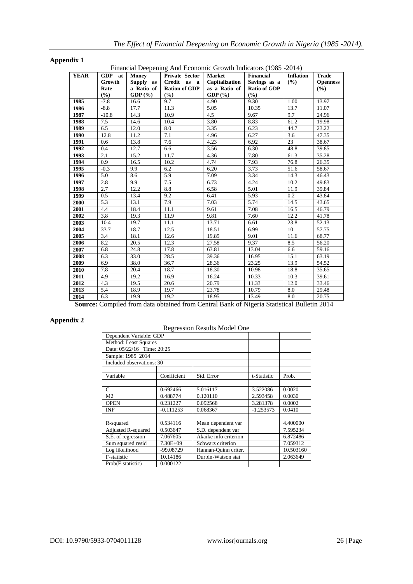| Appendix 1 |
|------------|
|------------|

Financial Deepening And Economic Growth Indicators (1985 -2014)

| <b>YEAR</b> | <b>GDP</b><br>at | Money      | Financial Deepening And Economic Growth Indicators (1985 -2014)<br><b>Private Sector</b> | <b>Market</b>  | <b>Financial</b>    | <b>Inflation</b> | <b>Trade</b>    |
|-------------|------------------|------------|------------------------------------------------------------------------------------------|----------------|---------------------|------------------|-----------------|
|             | Growth           | Supply as  | Credit as a                                                                              | Capitalization | Savings as a        | (%)              | <b>Openness</b> |
|             | Rate             | a Ratio of | <b>Ration of GDP</b>                                                                     | as a Ratio of  | <b>Ratio of GDP</b> |                  | (%)             |
|             | (%)              | GDP $(\%)$ | (9/6)                                                                                    | GDP(%)         | (%)                 |                  |                 |
| 1985        | $-7.8$           | 16.6       | 9.7                                                                                      | 4.90           | 9.30                | 1.00             | 13.97           |
| 1986        | $-8.8$           | 17.7       | 11.3                                                                                     | 5.05           | 10.35               | 13.7             | 11.07           |
| 1987        | $-10.8$          | 14.3       | 10.9                                                                                     | 4.5            | 9.67                | 9.7              | 24.96           |
| 1988        | 7.5              | 14.6       | 10.4                                                                                     | 3.80           | 8.83                | 61.2             | 19.98           |
| 1989        | 6.5              | 12.0       | 8.0                                                                                      | 3.35           | 6.23                | 44.7             | 23.22           |
| 1990        | 12.8             | 11.2       | 7.1                                                                                      | 4.96           | 6.27                | 3.6              | 47.35           |
| 1991        | 0.6              | 13.8       | 7.6                                                                                      | 4.23           | 6.92                | 23               | 38.67           |
| 1992        | 0.4              | 12.7       | 6.6                                                                                      | 3.56           | 6.30                | 48.8             | 39.85           |
| 1993        | 2.1              | 15.2       | 11.7                                                                                     | 4.36           | 7.80                | 61.3             | 35.28           |
| 1994        | 0.9              | 16.5       | 10.2                                                                                     | 4.74           | 7.93                | 76.8             | 26.35           |
| 1995        | $-0.3$           | 9.9        | 6.2                                                                                      | 6.20           | 3.73                | 51.6             | 58.67           |
| 1996        | 5.0              | 8.6        | 5.9                                                                                      | 7.09           | 3.34                | 14.3             | 46.43           |
| 1997        | 2.8              | 9.9        | 7.5                                                                                      | 6.73           | 4.24                | 10.2             | 49.83           |
| 1998        | 2.7              | 12.2       | 8.8                                                                                      | 6.58           | 5.01                | 11.9             | 39.84           |
| 1999        | 0.5              | 13.4       | 9.2                                                                                      | 6.41           | 5.93                | 0.2              | 43.84           |
| 2000        | 5.3              | 13.1       | 7.9                                                                                      | 7.03           | 5.74                | 14.5             | 43.65           |
| 2001        | 4.4              | 18.4       | 11.1                                                                                     | 9.61           | 7.08                | 16.5             | 46.79           |
| 2002        | 3.8              | 19.3       | 11.9                                                                                     | 9.81           | 7.60                | 12.2             | 41.78           |
| 2003        | 10.4             | 19.7       | 11.1                                                                                     | 13.71          | 6.61                | 23.8             | 52.13           |
| 2004        | 33.7             | 18.7       | 12.5                                                                                     | 18.51          | 6.99                | 10               | 57.75           |
| 2005        | 3.4              | 18.1       | 12.6                                                                                     | 19.85          | 9.01                | 11.6             | 68.77           |
| 2006        | 8.2              | 20.5       | 12.3                                                                                     | 27.58          | 9.37                | 8.5              | 56.20           |
| 2007        | 6.8              | 24.8       | 17.8                                                                                     | 63.81          | 13.04               | 6.6              | 59.16           |
| 2008        | 6.3              | 33.0       | 28.5                                                                                     | 39.36          | 16.95               | 15.1             | 63.19           |
| 2009        | 6.9              | 38.0       | 36.7                                                                                     | 28.36          | 23.25               | 13.9             | 54.52           |
| 2010        | 7.8              | 20.4       | 18.7                                                                                     | 18.30          | 10.98               | 18.8             | 35.65           |
| 2011        | 4.9              | 19.2       | 16.9                                                                                     | 16.24          | 10.33               | 10.3             | 39.61           |
| 2012        | 4.3              | 19.5       | 20.6                                                                                     | 20.79          | 11.33               | 12.0             | 33.46           |
| 2013        | 5.4              | 18.9       | 19.7                                                                                     | 23.78          | 10.79               | 8.0              | 29.48           |
| 2014        | 6.3              | 19.9       | 19.2                                                                                     | 18.95          | 13.49               | 8.0              | 20.75           |

**Source:** Compiled from data obtained from Central Bank of Nigeria Statistical Bulletin 2014

# **Appendix 2**

Regression Results Model One

| Dependent Variable: GDP           |             |                       |             |           |  |  |
|-----------------------------------|-------------|-----------------------|-------------|-----------|--|--|
| Method: Least Squares             |             |                       |             |           |  |  |
| Date: 05/22/16 Time: 20:25        |             |                       |             |           |  |  |
| Sample: 1985 2014                 |             |                       |             |           |  |  |
| Included observations: 30         |             |                       |             |           |  |  |
|                                   |             |                       |             |           |  |  |
| Variable                          | Coefficient | Std. Error            | t-Statistic | Prob.     |  |  |
|                                   |             |                       |             |           |  |  |
| C                                 | 0.692466    | 5.016117              | 3.522086    | 0.0020    |  |  |
| M <sub>2</sub>                    | 0.488774    | 0.120110              | 2.593458    | 0.0030    |  |  |
| <b>OPEN</b>                       | 0.231227    | 0.092568              | 3.281378    | 0.0002    |  |  |
| <b>INF</b>                        | $-0.111253$ | 0.068367              | $-1.253573$ | 0.0410    |  |  |
|                                   |             |                       |             |           |  |  |
| R-squared                         | 0.534116    | Mean dependent var    |             | 4.400000  |  |  |
| <b>Adjusted R-squared</b>         | 0.503647    | S.D. dependent var    |             | 7.595234  |  |  |
| S.E. of regression<br>7.067605    |             | Akaike info criterion |             | 6.872486  |  |  |
| Sum squared resid<br>$7.30E + 09$ |             | Schwarz criterion     |             | 7.059312  |  |  |
| Log likelihood<br>-99.08729       |             | Hannan-Ouinn criter.  |             | 10.503160 |  |  |
| F-statistic                       | 10.14186    | Durbin-Watson stat    |             | 2.063649  |  |  |
| Prob(F-statistic)                 |             |                       |             |           |  |  |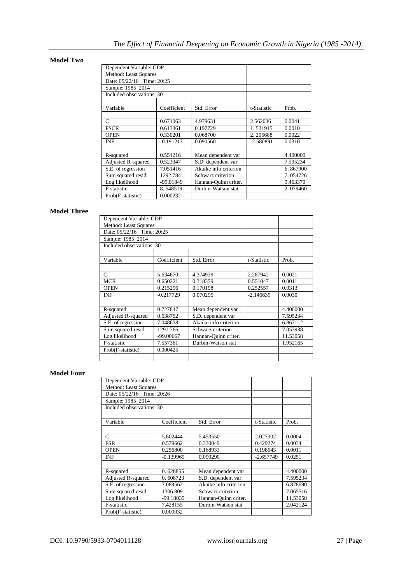# **Model Two**

| Dependent Variable: GDP    |             |                       |             |          |
|----------------------------|-------------|-----------------------|-------------|----------|
| Method: Least Squares      |             |                       |             |          |
| Date: 05/22/16 Time: 20:25 |             |                       |             |          |
| Sample: 1985 2014          |             |                       |             |          |
| Included observations: 30  |             |                       |             |          |
|                            |             |                       |             |          |
| Variable                   | Coefficient | Std. Error            | t-Statistic | Prob.    |
|                            |             |                       |             |          |
| C                          | 0.671063    | 4.979631              | 2.562036    | 0.0041   |
| <b>PSCR</b>                | 0.613361    | 0.197729              | 1.531915    | 0.0010   |
| <b>OPEN</b>                | 0.330201    | 0.068700              | 2.205688    | 0.0022   |
| INF                        | $-0.191213$ | 0.090560              | $-2.580891$ | 0.0310   |
|                            |             |                       |             |          |
| R-squared                  | 0.554216    | Mean dependent var    |             | 4.400000 |
| <b>Adjusted R-squared</b>  | 0.523347    | S.D. dependent var    |             | 7.595234 |
| S.E. of regression         | 7.051416    | Akaike info criterion |             | 6.867900 |
| Sum squared resid          | 1292.784    | Schwarz criterion     |             | 7.054726 |
| Log likelihood             | $-99.01849$ | Hannan-Ouinn criter.  |             | 9.463370 |
| F-statistic                | 8.548519    | Durbin-Watson stat    |             | 2.079460 |
| Prob(F-statistic)          | 0.000232    |                       |             |          |

# **Model Three**

| Dependent Variable: GDP       |             |                       |                      |          |
|-------------------------------|-------------|-----------------------|----------------------|----------|
| Method: Least Squares         |             |                       |                      |          |
| Date: 05/22/16 Time: 20:25    |             |                       |                      |          |
| Sample: 1985 2014             |             |                       |                      |          |
| Included observations: 30     |             |                       |                      |          |
|                               |             |                       |                      |          |
| Variable                      | Coefficient | Std. Error            | t-Statistic          | Prob.    |
|                               |             |                       |                      |          |
| $\mathsf{C}$                  | 5.634670    | 4.374939              | 2.287942             | 0.0021   |
| <b>MCR</b>                    | 0.650221    | 0.318359              | 0.551047<br>0.252557 | 0.0011   |
| <b>OPEN</b>                   | 0.215296    | 0.170198              |                      | 0.0313   |
| <b>INF</b>                    | $-0.217729$ | 0.070295              | $-2.146639$          | 0.0030   |
|                               |             |                       |                      |          |
| R-squared                     | 0.727847    | Mean dependent var    |                      | 4.400000 |
| Adjusted R-squared            | 0.638752    | S.D. dependent var    |                      | 7.595234 |
| S.E. of regression            | 7.048638    | Akaike info criterion |                      | 6.867112 |
| Sum squared resid             | 1291.766    |                       | Schwarz criterion    |          |
| Log likelihood                | $-99.00667$ | Hannan-Quinn criter.  |                      | 11.53058 |
| F-statistic                   | 7.557361    | Durbin-Watson stat    |                      | 1.952165 |
| Prob(F-statistic)<br>0.000425 |             |                       |                      |          |
|                               |             |                       |                      |          |

# **Model Four**

| Dependent Variable: GDP    |             |                       |             |          |
|----------------------------|-------------|-----------------------|-------------|----------|
| Method: Least Squares      |             |                       |             |          |
| Date: 05/22/16 Time: 20:26 |             |                       |             |          |
| Sample: 1985 2014          |             |                       |             |          |
| Included observations: 30  |             |                       |             |          |
|                            |             |                       |             |          |
| Variable                   | Coefficient | Std. Error            | t-Statistic | Prob.    |
|                            |             |                       |             |          |
| $\mathsf{C}$               | 5.602444    | 5.453550              | 2.027302    | 0.0004   |
| <b>FSR</b>                 | 0.579662    | 0.330049              | 0.429274    | 0.0034   |
| <b>OPEN</b>                | 0.256800    | 0.168933              | 0.198643    | 0.0011   |
| <b>INF</b>                 | $-0.139969$ | 0.090290              | $-2.657749$ | 0.0251   |
|                            |             |                       |             |          |
| R-squared                  | 0.628855    | Mean dependent var    |             | 4.400000 |
| Adjusted R-squared         | 0.608723    | S.D. dependent var    |             | 7.595234 |
| S.E. of regression         | 7.089562    | Akaike info criterion |             | 6.878690 |
| Sum squared resid          | 1306.809    | Schwarz criterion     |             | 7.065516 |
| Log likelihood             | -99.18035   | Hannan-Ouinn criter.  |             | 11.53058 |
| F-statistic                | 7.428155    | Durbin-Watson stat    |             | 2.042124 |
| Prob(F-statistic)          | 0.000032    |                       |             |          |